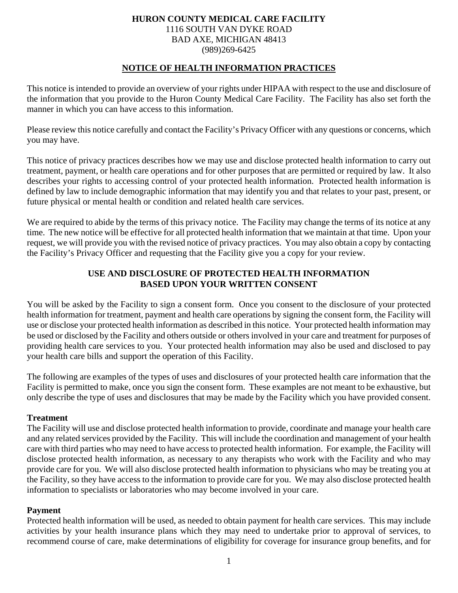# **HURON COUNTY MEDICAL CARE FACILITY**  1116 SOUTH VAN DYKE ROAD BAD AXE, MICHIGAN 48413 (989)269-6425

# **NOTICE OF HEALTH INFORMATION PRACTICES**

This notice is intended to provide an overview of your rights under HIPAA with respect to the use and disclosure of the information that you provide to the Huron County Medical Care Facility. The Facility has also set forth the manner in which you can have access to this information.

Please review this notice carefully and contact the Facility's Privacy Officer with any questions or concerns, which you may have.

This notice of privacy practices describes how we may use and disclose protected health information to carry out treatment, payment, or health care operations and for other purposes that are permitted or required by law. It also describes your rights to accessing control of your protected health information. Protected health information is defined by law to include demographic information that may identify you and that relates to your past, present, or future physical or mental health or condition and related health care services.

We are required to abide by the terms of this privacy notice. The Facility may change the terms of its notice at any time. The new notice will be effective for all protected health information that we maintain at that time. Upon your request, we will provide you with the revised notice of privacy practices. You may also obtain a copy by contacting the Facility's Privacy Officer and requesting that the Facility give you a copy for your review.

# **USE AND DISCLOSURE OF PROTECTED HEALTH INFORMATION BASED UPON YOUR WRITTEN CONSENT**

You will be asked by the Facility to sign a consent form. Once you consent to the disclosure of your protected health information for treatment, payment and health care operations by signing the consent form, the Facility will use or disclose your protected health information as described in this notice. Your protected health information may be used or disclosed by the Facility and others outside or others involved in your care and treatment for purposes of providing health care services to you. Your protected health information may also be used and disclosed to pay your health care bills and support the operation of this Facility.

The following are examples of the types of uses and disclosures of your protected health care information that the Facility is permitted to make, once you sign the consent form. These examples are not meant to be exhaustive, but only describe the type of uses and disclosures that may be made by the Facility which you have provided consent.

#### **Treatment**

The Facility will use and disclose protected health information to provide, coordinate and manage your health care and any related services provided by the Facility. This will include the coordination and management of your health care with third parties who may need to have access to protected health information. For example, the Facility will disclose protected health information, as necessary to any therapists who work with the Facility and who may provide care for you. We will also disclose protected health information to physicians who may be treating you at the Facility, so they have access to the information to provide care for you. We may also disclose protected health information to specialists or laboratories who may become involved in your care.

## **Payment**

Protected health information will be used, as needed to obtain payment for health care services. This may include activities by your health insurance plans which they may need to undertake prior to approval of services, to recommend course of care, make determinations of eligibility for coverage for insurance group benefits, and for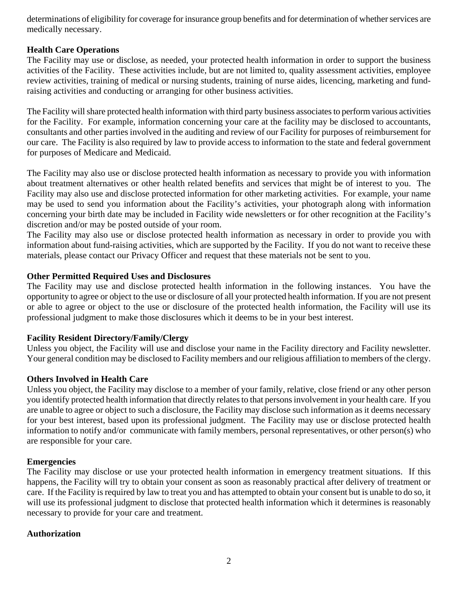determinations of eligibility for coverage for insurance group benefits and for determination of whether services are medically necessary.

## **Health Care Operations**

The Facility may use or disclose, as needed, your protected health information in order to support the business activities of the Facility. These activities include, but are not limited to, quality assessment activities, employee review activities, training of medical or nursing students, training of nurse aides, licencing, marketing and fundraising activities and conducting or arranging for other business activities.

The Facility will share protected health information with third party business associates to perform various activities for the Facility. For example, information concerning your care at the facility may be disclosed to accountants, consultants and other parties involved in the auditing and review of our Facility for purposes of reimbursement for our care. The Facility is also required by law to provide access to information to the state and federal government for purposes of Medicare and Medicaid.

The Facility may also use or disclose protected health information as necessary to provide you with information about treatment alternatives or other health related benefits and services that might be of interest to you. The Facility may also use and disclose protected information for other marketing activities. For example, your name may be used to send you information about the Facility's activities, your photograph along with information concerning your birth date may be included in Facility wide newsletters or for other recognition at the Facility's discretion and/or may be posted outside of your room.

The Facility may also use or disclose protected health information as necessary in order to provide you with information about fund-raising activities, which are supported by the Facility. If you do not want to receive these materials, please contact our Privacy Officer and request that these materials not be sent to you.

## **Other Permitted Required Uses and Disclosures**

The Facility may use and disclose protected health information in the following instances. You have the opportunity to agree or object to the use or disclosure of all your protected health information. If you are not present or able to agree or object to the use or disclosure of the protected health information, the Facility will use its professional judgment to make those disclosures which it deems to be in your best interest.

## **Facility Resident Directory/Family/Clergy**

Unless you object, the Facility will use and disclose your name in the Facility directory and Facility newsletter. Your general condition may be disclosed to Facility members and our religious affiliation to members of the clergy.

## **Others Involved in Health Care**

Unless you object, the Facility may disclose to a member of your family, relative, close friend or any other person you identify protected health information that directly relates to that persons involvement in your health care. If you are unable to agree or object to such a disclosure, the Facility may disclose such information as it deems necessary for your best interest, based upon its professional judgment. The Facility may use or disclose protected health information to notify and/or communicate with family members, personal representatives, or other person(s) who are responsible for your care.

#### **Emergencies**

The Facility may disclose or use your protected health information in emergency treatment situations. If this happens, the Facility will try to obtain your consent as soon as reasonably practical after delivery of treatment or care. If the Facility is required by law to treat you and has attempted to obtain your consent but is unable to do so, it will use its professional judgment to disclose that protected health information which it determines is reasonably necessary to provide for your care and treatment.

#### **Authorization**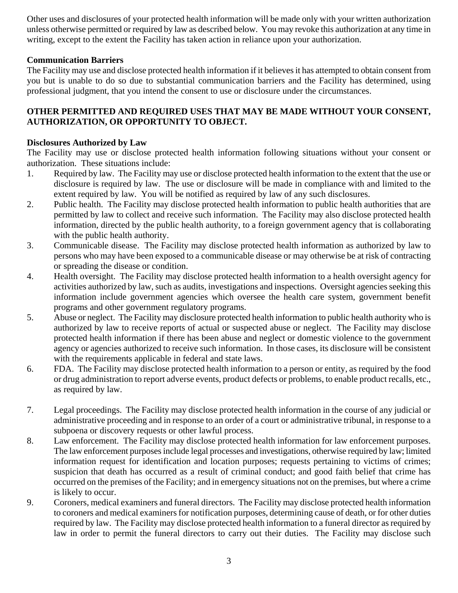Other uses and disclosures of your protected health information will be made only with your written authorization unless otherwise permitted or required by law as described below. You may revoke this authorization at any time in writing, except to the extent the Facility has taken action in reliance upon your authorization.

# **Communication Barriers**

The Facility may use and disclose protected health information if it believes it has attempted to obtain consent from you but is unable to do so due to substantial communication barriers and the Facility has determined, using professional judgment, that you intend the consent to use or disclosure under the circumstances.

# **OTHER PERMITTED AND REQUIRED USES THAT MAY BE MADE WITHOUT YOUR CONSENT, AUTHORIZATION, OR OPPORTUNITY TO OBJECT.**

## **Disclosures Authorized by Law**

The Facility may use or disclose protected health information following situations without your consent or authorization. These situations include:

- 1. Required by law. The Facility may use or disclose protected health information to the extent that the use or disclosure is required by law. The use or disclosure will be made in compliance with and limited to the extent required by law. You will be notified as required by law of any such disclosures.
- 2. Public health. The Facility may disclose protected health information to public health authorities that are permitted by law to collect and receive such information. The Facility may also disclose protected health information, directed by the public health authority, to a foreign government agency that is collaborating with the public health authority.
- 3. Communicable disease. The Facility may disclose protected health information as authorized by law to persons who may have been exposed to a communicable disease or may otherwise be at risk of contracting or spreading the disease or condition.
- 4. Health oversight. The Facility may disclose protected health information to a health oversight agency for activities authorized by law, such as audits, investigations and inspections. Oversight agencies seeking this information include government agencies which oversee the health care system, government benefit programs and other government regulatory programs.
- 5. Abuse or neglect. The Facility may disclosure protected health information to public health authority who is authorized by law to receive reports of actual or suspected abuse or neglect. The Facility may disclose protected health information if there has been abuse and neglect or domestic violence to the government agency or agencies authorized to receive such information. In those cases, its disclosure will be consistent with the requirements applicable in federal and state laws.
- 6. FDA. The Facility may disclose protected health information to a person or entity, as required by the food or drug administration to report adverse events, product defects or problems, to enable product recalls, etc., as required by law.
- 7. Legal proceedings. The Facility may disclose protected health information in the course of any judicial or administrative proceeding and in response to an order of a court or administrative tribunal, in response to a subpoena or discovery requests or other lawful process.
- 8. Law enforcement. The Facility may disclose protected health information for law enforcement purposes. The law enforcement purposes include legal processes and investigations, otherwise required by law; limited information request for identification and location purposes; requests pertaining to victims of crimes; suspicion that death has occurred as a result of criminal conduct; and good faith belief that crime has occurred on the premises of the Facility; and in emergency situations not on the premises, but where a crime is likely to occur.
- 9. Coroners, medical examiners and funeral directors. The Facility may disclose protected health information to coroners and medical examiners for notification purposes, determining cause of death, or for other duties required by law. The Facility may disclose protected health information to a funeral director as required by law in order to permit the funeral directors to carry out their duties. The Facility may disclose such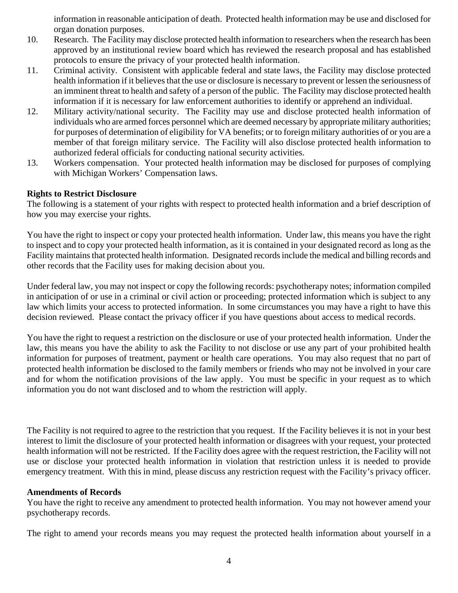information in reasonable anticipation of death. Protected health information may be use and disclosed for organ donation purposes.

- 10. Research. The Facility may disclose protected health information to researchers when the research has been approved by an institutional review board which has reviewed the research proposal and has established protocols to ensure the privacy of your protected health information.
- 11. Criminal activity. Consistent with applicable federal and state laws, the Facility may disclose protected health information if it believes that the use or disclosure is necessary to prevent or lessen the seriousness of an imminent threat to health and safety of a person of the public. The Facility may disclose protected health information if it is necessary for law enforcement authorities to identify or apprehend an individual.
- 12. Military activity/national security. The Facility may use and disclose protected health information of individuals who are armed forces personnel which are deemed necessary by appropriate military authorities; for purposes of determination of eligibility for VA benefits; or to foreign military authorities of or you are a member of that foreign military service. The Facility will also disclose protected health information to authorized federal officials for conducting national security activities.
- 13. Workers compensation. Your protected health information may be disclosed for purposes of complying with Michigan Workers' Compensation laws.

## **Rights to Restrict Disclosure**

The following is a statement of your rights with respect to protected health information and a brief description of how you may exercise your rights.

You have the right to inspect or copy your protected health information. Under law, this means you have the right to inspect and to copy your protected health information, as it is contained in your designated record as long as the Facility maintains that protected health information. Designated records include the medical and billing records and other records that the Facility uses for making decision about you.

Under federal law, you may not inspect or copy the following records: psychotherapy notes; information compiled in anticipation of or use in a criminal or civil action or proceeding; protected information which is subject to any law which limits your access to protected information. In some circumstances you may have a right to have this decision reviewed. Please contact the privacy officer if you have questions about access to medical records.

You have the right to request a restriction on the disclosure or use of your protected health information. Under the law, this means you have the ability to ask the Facility to not disclose or use any part of your prohibited health information for purposes of treatment, payment or health care operations. You may also request that no part of protected health information be disclosed to the family members or friends who may not be involved in your care and for whom the notification provisions of the law apply. You must be specific in your request as to which information you do not want disclosed and to whom the restriction will apply.

The Facility is not required to agree to the restriction that you request. If the Facility believes it is not in your best interest to limit the disclosure of your protected health information or disagrees with your request, your protected health information will not be restricted. If the Facility does agree with the request restriction, the Facility will not use or disclose your protected health information in violation that restriction unless it is needed to provide emergency treatment. With this in mind, please discuss any restriction request with the Facility's privacy officer.

## **Amendments of Records**

You have the right to receive any amendment to protected health information. You may not however amend your psychotherapy records.

The right to amend your records means you may request the protected health information about yourself in a